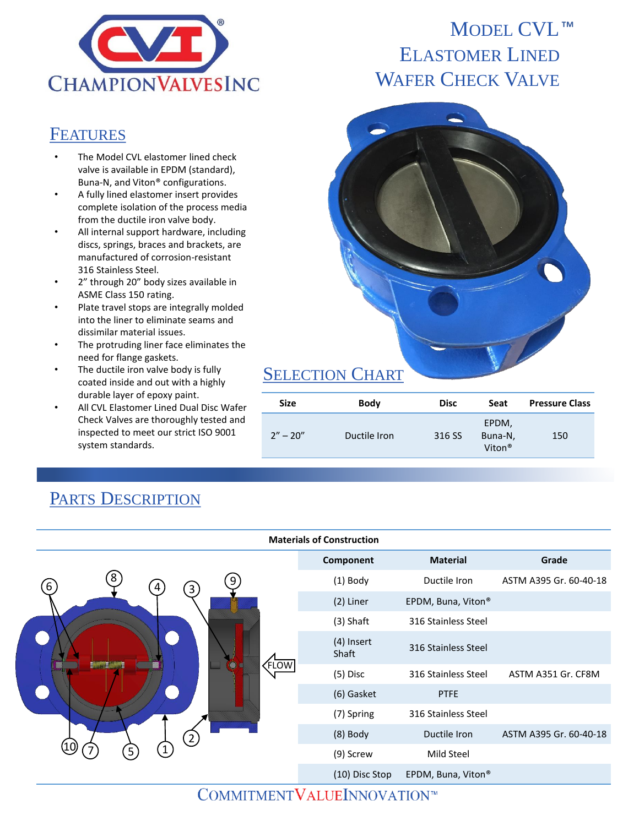

#### **FEATURES**

- The Model CVL elastomer lined check valve is available in EPDM (standard), Buna-N, and Viton® configurations.
- A fully lined elastomer insert provides complete isolation of the process media from the ductile iron valve body.
- All internal support hardware, including discs, springs, braces and brackets, are manufactured of corrosion-resistant 316 Stainless Steel.
- 2" through 20" body sizes available in ASME Class 150 rating.
- Plate travel stops are integrally molded into the liner to eliminate seams and dissimilar material issues.
- The protruding liner face eliminates the need for flange gaskets.
- The ductile iron valve body is fully coated inside and out with a highly durable layer of epoxy paint.
- All CVL Elastomer Lined Dual Disc Wafer Check Valves are thoroughly tested and inspected to meet our strict ISO 9001 system standards.

#### **Materials of Construction Component Material Grade** (1) Body Ductile Iron ASTM A395 Gr. 60-40-18 (2) Liner EPDM, Buna, Viton® (3) Shaft 316 Stainless Steel (4) Insert (4) msert 316 Stainless Steel (5) Disc 316 Stainless Steel ASTM A351 Gr. CF8M (6) Gasket PTFE (7) Spring 316 Stainless Steel (8) Body Ductile Iron ASTM A395 Gr. 60-40-18 (9) Screw Mild Steel (10) Disc Stop EPDM, Buna, Viton® 5 FLOW 10 4) (3) 2 1 6  $\overset{3}{\sim}$   $\qquad \qquad \odot$   $\qquad \overset{3}{\sim}$ 7

# PARTS DESCRIPTION

# MODEL CVL<sup>™</sup> ELASTOMER LINED WAFER CHECK VALVE



## SELECTION CHART

| Size         | <b>Body</b>  | <b>Disc</b> | Seat                                   | <b>Pressure Class</b> |
|--------------|--------------|-------------|----------------------------------------|-----------------------|
| $2'' - 20''$ | Ductile Iron | 316 SS      | EPDM,<br>Buna-N,<br>Viton <sup>®</sup> | 150                   |

### COMMITMENTVALUEINNOVATION™